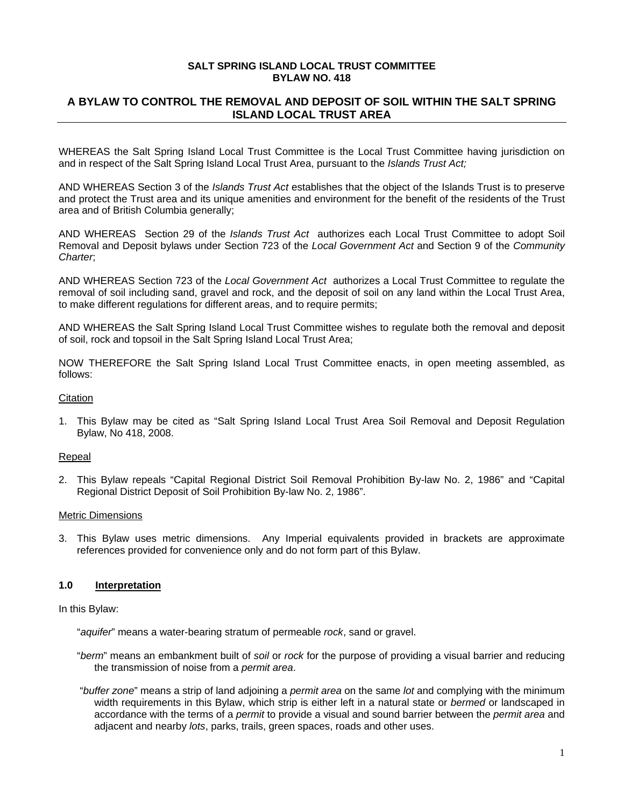#### **SALT SPRING ISLAND LOCAL TRUST COMMITTEE BYLAW NO. 418**

## **A BYLAW TO CONTROL THE REMOVAL AND DEPOSIT OF SOIL WITHIN THE SALT SPRING ISLAND LOCAL TRUST AREA**

WHEREAS the Salt Spring Island Local Trust Committee is the Local Trust Committee having jurisdiction on and in respect of the Salt Spring Island Local Trust Area, pursuant to the *Islands Trust Act;* 

AND WHEREAS Section 3 of the *Islands Trust Act* establishes that the object of the Islands Trust is to preserve and protect the Trust area and its unique amenities and environment for the benefit of the residents of the Trust area and of British Columbia generally;

AND WHEREAS Section 29 of the *Islands Trust Act* authorizes each Local Trust Committee to adopt Soil Removal and Deposit bylaws under Section 723 of the *Local Government Act* and Section 9 of the *Community Charter*;

AND WHEREAS Section 723 of the *Local Government Act* authorizes a Local Trust Committee to regulate the removal of soil including sand, gravel and rock, and the deposit of soil on any land within the Local Trust Area, to make different regulations for different areas, and to require permits;

AND WHEREAS the Salt Spring Island Local Trust Committee wishes to regulate both the removal and deposit of soil, rock and topsoil in the Salt Spring Island Local Trust Area;

NOW THEREFORE the Salt Spring Island Local Trust Committee enacts, in open meeting assembled, as follows:

#### **Citation**

1. This Bylaw may be cited as "Salt Spring Island Local Trust Area Soil Removal and Deposit Regulation Bylaw, No 418, 2008.

#### Repeal

2. This Bylaw repeals "Capital Regional District Soil Removal Prohibition By-law No. 2, 1986" and "Capital Regional District Deposit of Soil Prohibition By-law No. 2, 1986".

#### Metric Dimensions

3. This Bylaw uses metric dimensions. Any Imperial equivalents provided in brackets are approximate references provided for convenience only and do not form part of this Bylaw.

## **1.0 Interpretation**

In this Bylaw:

"*aquifer*" means a water-bearing stratum of permeable *rock*, sand or gravel.

- "*berm*" means an embankment built of *soil* or *rock* for the purpose of providing a visual barrier and reducing the transmission of noise from a *permit area*.
- "*buffer zone*" means a strip of land adjoining a *permit area* on the same *lot* and complying with the minimum width requirements in this Bylaw, which strip is either left in a natural state or *bermed* or landscaped in accordance with the terms of a *permit* to provide a visual and sound barrier between the *permit area* and adjacent and nearby *lots*, parks, trails, green spaces, roads and other uses.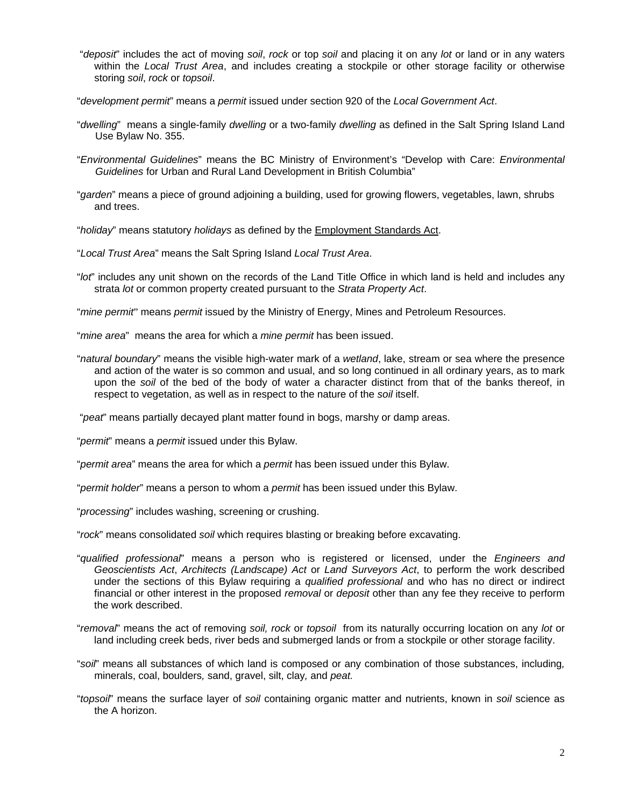- "*deposit*" includes the act of moving *soil*, *rock* or top *soil* and placing it on any *lot* or land or in any waters within the *Local Trust Area*, and includes creating a stockpile or other storage facility or otherwise storing *soil*, *rock* or *topsoil*.
- "*development permit*" means a *permit* issued under section 920 of the *Local Government Act*.
- "*dwelling*"means a single-family *dwelling* or a two-family *dwelling* as defined in the Salt Spring Island Land Use Bylaw No. 355.
- "*Environmental Guidelines*" means the BC Ministry of Environment's "Develop with Care: *Environmental Guidelines* for Urban and Rural Land Development in British Columbia"
- "*garden*" means a piece of ground adjoining a building, used for growing flowers, vegetables, lawn, shrubs and trees.
- "*holiday*" means statutory *holidays* as defined by the Employment Standards Act.
- "*Local Trust Area*" means the Salt Spring Island *Local Trust Area*.
- "*lot*" includes any unit shown on the records of the Land Title Office in which land is held and includes any strata *lot* or common property created pursuant to the *Strata Property Act*.
- "*mine permit*" means *permit* issued by the Ministry of Energy, Mines and Petroleum Resources.
- "*mine area*" means the area for which a *mine permit* has been issued.
- "*natural boundary*" means the visible high-water mark of a *wetland*, lake, stream or sea where the presence and action of the water is so common and usual, and so long continued in all ordinary years, as to mark upon the *soil* of the bed of the body of water a character distinct from that of the banks thereof, in respect to vegetation, as well as in respect to the nature of the *soil* itself.

"*peat*" means partially decayed plant matter found in bogs, marshy or damp areas.

"*permit*" means a *permit* issued under this Bylaw.

"*permit area*" means the area for which a *permit* has been issued under this Bylaw.

"*permit holder*" means a person to whom a *permit* has been issued under this Bylaw.

"*processing*" includes washing, screening or crushing.

"*rock*" means consolidated *soil* which requires blasting or breaking before excavating.

- "*qualified professional*" means a person who is registered or licensed, under the *Engineers and Geoscientists Act*, *Architects (Landscape) Act* or *Land Surveyors Act*, to perform the work described under the sections of this Bylaw requiring a *qualified professional* and who has no direct or indirect financial or other interest in the proposed *removal* or *deposit* other than any fee they receive to perform the work described.
- "*removal*" means the act of removing *soil, rock* or *topsoil* from its naturally occurring location on any *lot* or land including creek beds, river beds and submerged lands or from a stockpile or other storage facility.
- "*soil*" means all substances of which land is composed or any combination of those substances, including*,*  minerals, coal, boulders*,* sand, gravel, silt, clay*,* and *peat.*
- "*topsoil*" means the surface layer of *soil* containing organic matter and nutrients, known in *soil* science as the A horizon.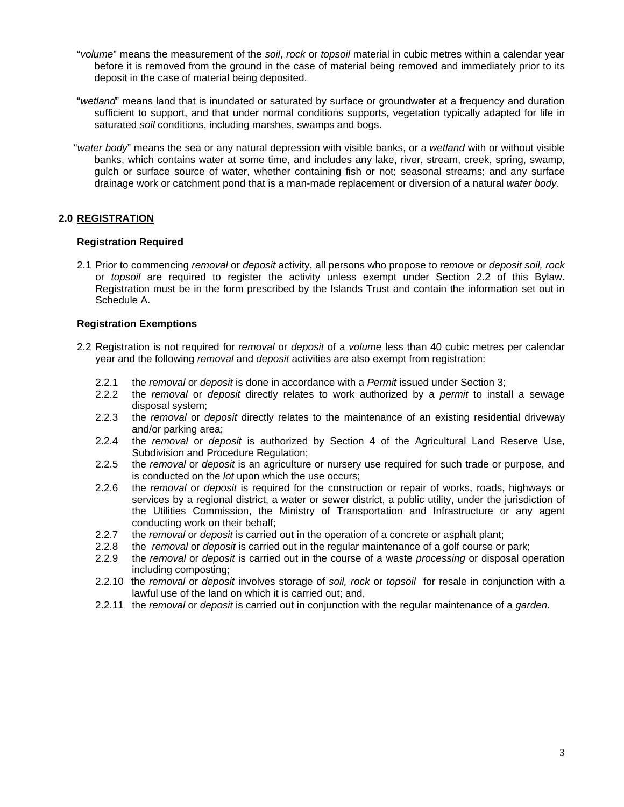- "*volume*" means the measurement of the *soil*, *rock* or *topsoil* material in cubic metres within a calendar year before it is removed from the ground in the case of material being removed and immediately prior to its deposit in the case of material being deposited.
- "*wetland*" means land that is inundated or saturated by surface or groundwater at a frequency and duration sufficient to support, and that under normal conditions supports, vegetation typically adapted for life in saturated *soil* conditions, including marshes, swamps and bogs.
- "*water body*" means the sea or any natural depression with visible banks, or a *wetland* with or without visible banks, which contains water at some time, and includes any lake, river, stream, creek, spring, swamp, gulch or surface source of water, whether containing fish or not; seasonal streams; and any surface drainage work or catchment pond that is a man-made replacement or diversion of a natural *water body*.

## **2.0 REGISTRATION**

#### **Registration Required**

2.1 Prior to commencing *removal* or *deposit* activity, all persons who propose to *remove* or *deposit soil, rock* or *topsoil* are required to register the activity unless exempt under Section 2.2 of this Bylaw. Registration must be in the form prescribed by the Islands Trust and contain the information set out in Schedule A.

#### **Registration Exemptions**

- 2.2 Registration is not required for *removal* or *deposit* of a *volume* less than 40 cubic metres per calendar year and the following *removal* and *deposit* activities are also exempt from registration:
	- 2.2.1 the *removal* or *deposit* is done in accordance with a *Permit* issued under Section 3;
	- 2.2.2 the *removal* or *deposit* directly relates to work authorized by a *permit* to install a sewage disposal system;
	- 2.2.3 the *removal* or *deposit* directly relates to the maintenance of an existing residential driveway and/or parking area;
	- 2.2.4 the *removal* or *deposit* is authorized by Section 4 of the Agricultural Land Reserve Use, Subdivision and Procedure Regulation;
	- 2.2.5 the *removal* or *deposit* is an agriculture or nursery use required for such trade or purpose, and is conducted on the *lot* upon which the use occurs;
	- 2.2.6 the *removal* or *deposit* is required for the construction or repair of works, roads, highways or services by a regional district, a water or sewer district, a public utility, under the jurisdiction of the Utilities Commission, the Ministry of Transportation and Infrastructure or any agent conducting work on their behalf;
	- 2.2.7 the *removal* or *deposit* is carried out in the operation of a concrete or asphalt plant;
	- 2.2.8 the *removal* or *deposit* is carried out in the regular maintenance of a golf course or park;
	- 2.2.9 the *removal* or *deposit* is carried out in the course of a waste *processing* or disposal operation including composting;
	- 2.2.10 the *removal* or *deposit* involves storage of *soil, rock* or *topsoil* for resale in conjunction with a lawful use of the land on which it is carried out; and,
	- 2.2.11 the *removal* or *deposit* is carried out in conjunction with the regular maintenance of a *garden.*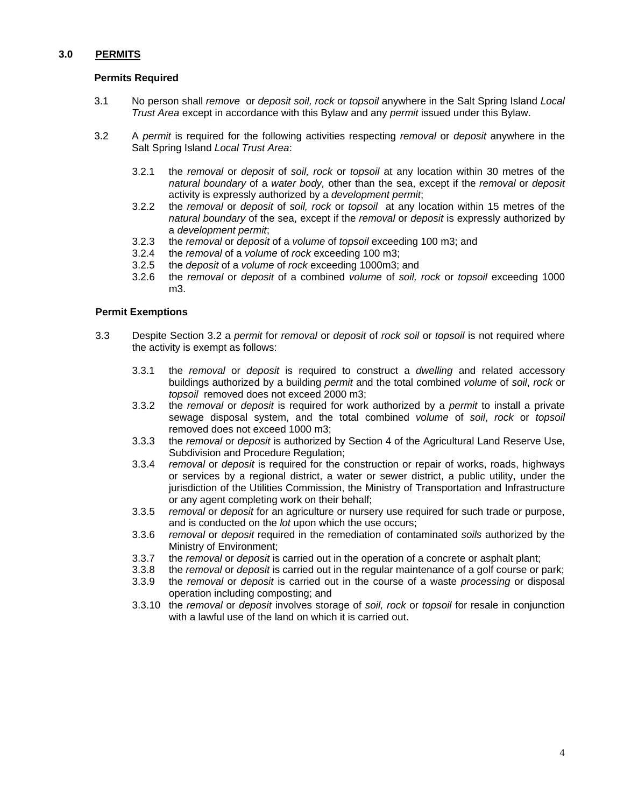## **3.0 PERMITS**

## **Permits Required**

- 3.1 No person shall *remove* or *deposit soil, rock* or *topsoil* anywhere in the Salt Spring Island *Local Trust Area* except in accordance with this Bylaw and any *permit* issued under this Bylaw.
- 3.2 A *permit* is required for the following activities respecting *removal* or *deposit* anywhere in the Salt Spring Island *Local Trust Area*:
	- 3.2.1 the *removal* or *deposit* of *soil, rock* or *topsoil* at any location within 30 metres of the *natural boundary* of a *water body,* other than the sea, except if the *removal* or *deposit* activity is expressly authorized by a *development permit*;
	- 3.2.2 the *removal* or *deposit* of *soil, rock* or *topsoil* at any location within 15 metres of the *natural boundary* of the sea, except if the *removal* or *deposit* is expressly authorized by a *development permit*;
	- 3.2.3 the *removal* or *deposit* of a *volume* of *topsoil* exceeding 100 m3; and
	- 3.2.4 the *removal* of a *volume* of *rock* exceeding 100 m3;
	- 3.2.5 the *deposit* of a *volume* of *rock* exceeding 1000m3; and
	- 3.2.6 the *removal* or *deposit* of a combined *volume* of *soil, rock* or *topsoil* exceeding 1000 m3.

## **Permit Exemptions**

- 3.3 Despite Section 3.2 a *permit* for *removal* or *deposit* of *rock soil* or *topsoil* is not required where the activity is exempt as follows:
	- 3.3.1 the *removal* or *deposit* is required to construct a *dwelling* and related accessory buildings authorized by a building *permit* and the total combined *volume* of *soil*, *rock* or *topsoil* removed does not exceed 2000 m3;
	- 3.3.2 the *removal* or *deposit* is required for work authorized by a *permit* to install a private sewage disposal system, and the total combined *volume* of *soil*, *rock* or *topsoil* removed does not exceed 1000 m3;
	- 3.3.3 the *removal* or *deposit* is authorized by Section 4 of the Agricultural Land Reserve Use, Subdivision and Procedure Regulation;
	- 3.3.4 *removal* or *deposit* is required for the construction or repair of works, roads, highways or services by a regional district, a water or sewer district, a public utility, under the jurisdiction of the Utilities Commission, the Ministry of Transportation and Infrastructure or any agent completing work on their behalf;
	- 3.3.5 *removal* or *deposit* for an agriculture or nursery use required for such trade or purpose, and is conducted on the *lot* upon which the use occurs;
	- 3.3.6 *removal* or *deposit* required in the remediation of contaminated *soils* authorized by the Ministry of Environment;
	- 3.3.7 the *removal* or *deposit* is carried out in the operation of a concrete or asphalt plant;
	- 3.3.8 the *removal* or *deposit* is carried out in the regular maintenance of a golf course or park;
	- 3.3.9 the *removal* or *deposit* is carried out in the course of a waste *processing* or disposal operation including composting; and
	- 3.3.10 the *removal* or *deposit* involves storage of *soil, rock* or *topsoil* for resale in conjunction with a lawful use of the land on which it is carried out.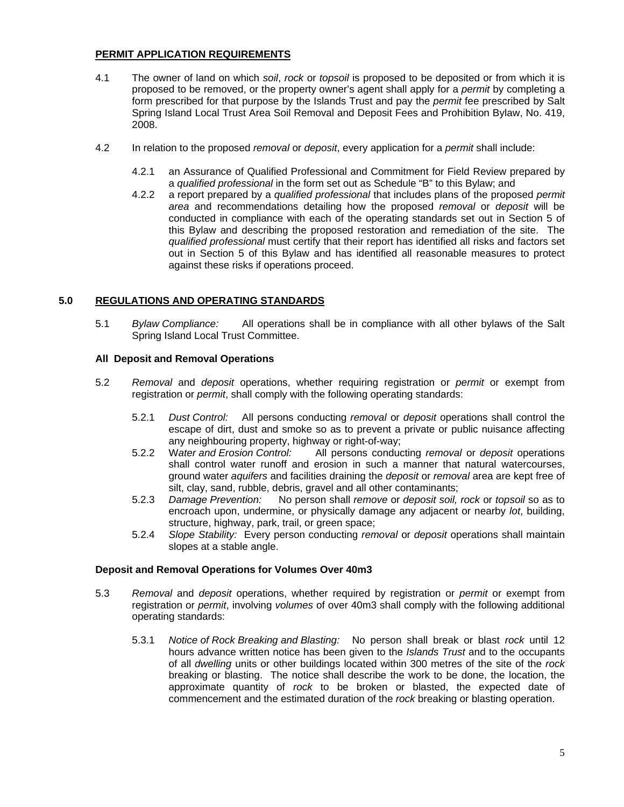## **PERMIT APPLICATION REQUIREMENTS**

- 4.1 The owner of land on which *soil*, *rock* or *topsoil* is proposed to be deposited or from which it is proposed to be removed, or the property owner's agent shall apply for a *permit* by completing a form prescribed for that purpose by the Islands Trust and pay the *permit* fee prescribed by Salt Spring Island Local Trust Area Soil Removal and Deposit Fees and Prohibition Bylaw, No. 419, 2008.
- 4.2 In relation to the proposed *removal* or *deposit*, every application for a *permit* shall include:
	- 4.2.1 an Assurance of Qualified Professional and Commitment for Field Review prepared by a *qualified professional* in the form set out as Schedule "B" to this Bylaw; and
	- 4.2.2 a report prepared by a *qualified professional* that includes plans of the proposed *permit area* and recommendations detailing how the proposed *removal* or *deposit* will be conducted in compliance with each of the operating standards set out in Section 5 of this Bylaw and describing the proposed restoration and remediation of the site. The *qualified professional* must certify that their report has identified all risks and factors set out in Section 5 of this Bylaw and has identified all reasonable measures to protect against these risks if operations proceed.

## **5.0 REGULATIONS AND OPERATING STANDARDS**

5.1 *Bylaw Compliance:* All operations shall be in compliance with all other bylaws of the Salt Spring Island Local Trust Committee.

## **All Deposit and Removal Operations**

- 5.2 *Removal* and *deposit* operations, whether requiring registration or *permit* or exempt from registration or *permit*, shall comply with the following operating standards:
	- 5.2.1 *Dust Control:* All persons conducting *removal* or *deposit* operations shall control the escape of dirt, dust and smoke so as to prevent a private or public nuisance affecting any neighbouring property, highway or right-of-way;
	- 5.2.2 W*ater and Erosion Control:* All persons conducting *removal* or *deposit* operations shall control water runoff and erosion in such a manner that natural watercourses, ground water *aquifers* and facilities draining the *deposit* or *removal* area are kept free of silt, clay, sand, rubble, debris, gravel and all other contaminants;
	- 5.2.3 *Damage Prevention:* No person shall *remove* or *deposit soil, rock* or *topsoil* so as to encroach upon, undermine, or physically damage any adjacent or nearby *lot*, building, structure, highway, park, trail, or green space;
	- 5.2.4 *Slope Stability:* Every person conducting *removal* or *deposit* operations shall maintain slopes at a stable angle.

#### **Deposit and Removal Operations for Volumes Over 40m3**

- 5.3 *Removal* and *deposit* operations, whether required by registration or *permit* or exempt from registration or *permit*, involving *volumes* of over 40m3 shall comply with the following additional operating standards:
	- 5.3.1 *Notice of Rock Breaking and Blasting:* No person shall break or blast *rock* until 12 hours advance written notice has been given to the *Islands Trust* and to the occupants of all *dwelling* units or other buildings located within 300 metres of the site of the *rock* breaking or blasting. The notice shall describe the work to be done, the location, the approximate quantity of *rock* to be broken or blasted, the expected date of commencement and the estimated duration of the *rock* breaking or blasting operation.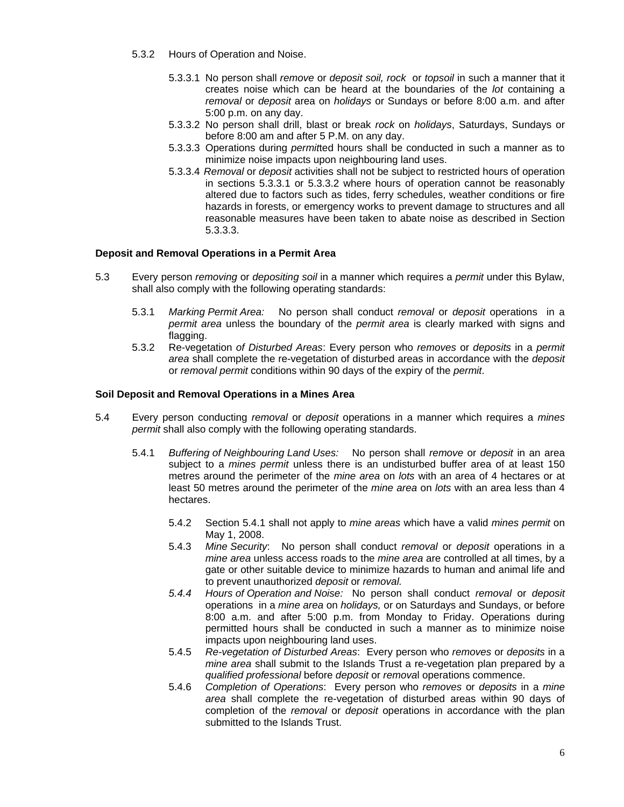- 5.3.2 Hours of Operation and Noise.
	- 5.3.3.1 No person shall *remove* or *deposit soil, rock* or *topsoil* in such a manner that it creates noise which can be heard at the boundaries of the *lot* containing a *removal* or *deposit* area on *holidays* or Sundays or before 8:00 a.m. and after 5:00 p.m. on any day.
	- 5.3.3.2 No person shall drill, blast or break *rock* on *holidays*, Saturdays, Sundays or before 8:00 am and after 5 P.M. on any day.
	- 5.3.3.3 Operations during *permit*ted hours shall be conducted in such a manner as to minimize noise impacts upon neighbouring land uses.
	- 5.3.3.4 *Removal* or *deposit* activities shall not be subject to restricted hours of operation in sections 5.3.3.1 or 5.3.3.2 where hours of operation cannot be reasonably altered due to factors such as tides, ferry schedules, weather conditions or fire hazards in forests, or emergency works to prevent damage to structures and all reasonable measures have been taken to abate noise as described in Section 5.3.3.3.

## **Deposit and Removal Operations in a Permit Area**

- 5.3 Every person *removing* or *depositing soil* in a manner which requires a *permit* under this Bylaw, shall also comply with the following operating standards:
	- 5.3.1 *Marking Permit Area:* No person shall conduct *removal* or *deposit* operations in a *permit area* unless the boundary of the *permit area* is clearly marked with signs and flagging.
	- 5.3.2 Re-vegetation *of Disturbed Areas*: Every person who *removes* or *deposits* in a *permit area* shall complete the re-vegetation of disturbed areas in accordance with the *deposit* or *removal permit* conditions within 90 days of the expiry of the *permit*.

#### **Soil Deposit and Removal Operations in a Mines Area**

- 5.4 Every person conducting *removal* or *deposit* operations in a manner which requires a *mines permit* shall also comply with the following operating standards.
	- 5.4.1 *Buffering of Neighbouring Land Uses:* No person shall *remove* or *deposit* in an area subject to a *mines permit* unless there is an undisturbed buffer area of at least 150 metres around the perimeter of the *mine area* on *lots* with an area of 4 hectares or at least 50 metres around the perimeter of the *mine area* on *lots* with an area less than 4 hectares.
		- 5.4.2 Section 5.4.1 shall not apply to *mine areas* which have a valid *mines permit* on May 1, 2008.
		- 5.4.3 *Mine Security*: No person shall conduct *removal* or *deposit* operations in a *mine area* unless access roads to the *mine area* are controlled at all times, by a gate or other suitable device to minimize hazards to human and animal life and to prevent unauthorized *deposit* or *removal.*
		- *5.4.4 Hours of Operation and Noise:* No person shall conduct *removal* or *deposit* operations in a *mine area* on *holidays,* or on Saturdays and Sundays, or before 8:00 a.m. and after 5:00 p.m. from Monday to Friday. Operations during permitted hours shall be conducted in such a manner as to minimize noise impacts upon neighbouring land uses.
		- 5.4.5 *Re-vegetation of Disturbed Areas*: Every person who *removes* or *deposits* in a *mine area* shall submit to the Islands Trust a re-vegetation plan prepared by a *qualified professional* before *deposit* or *remova*l operations commence.
		- 5.4.6 *Completion of Operations*: Every person who *removes* or *deposits* in a *mine area* shall complete the re-vegetation of disturbed areas within 90 days of completion of the *removal* or *deposit* operations in accordance with the plan submitted to the Islands Trust.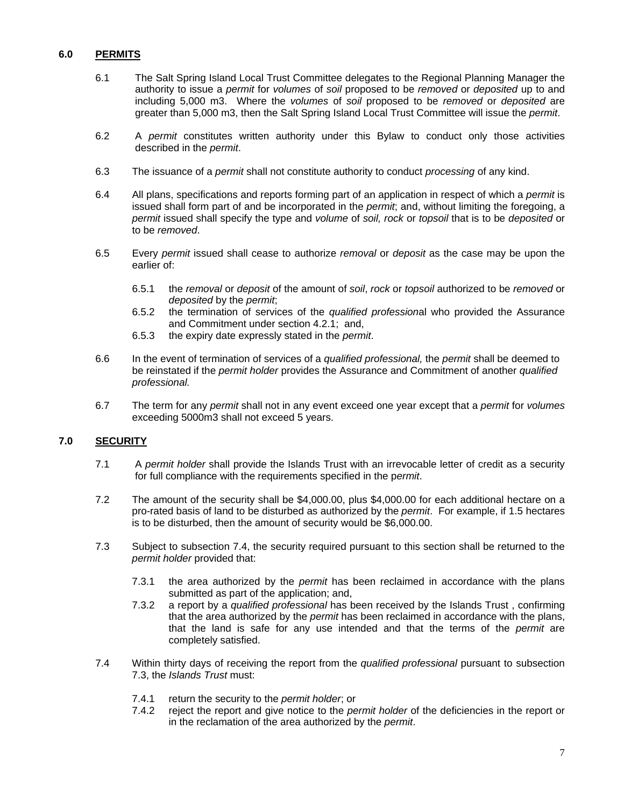## **6.0 PERMITS**

- 6.1 The Salt Spring Island Local Trust Committee delegates to the Regional Planning Manager the authority to issue a *permit* for *volumes* of *soil* proposed to be *removed* or *deposited* up to and including 5,000 m3. Where the *volumes* of *soil* proposed to be *removed* or *deposited* are greater than 5,000 m3, then the Salt Spring Island Local Trust Committee will issue the *permit*.
- 6.2 A *permit* constitutes written authority under this Bylaw to conduct only those activities described in the *permit*.
- 6.3 The issuance of a *permit* shall not constitute authority to conduct *processing* of any kind.
- 6.4 All plans, specifications and reports forming part of an application in respect of which a *permit* is issued shall form part of and be incorporated in the *permit*; and, without limiting the foregoing, a *permit* issued shall specify the type and *volume* of *soil, rock* or *topsoil* that is to be *deposited* or to be *removed*.
- 6.5 Every *permit* issued shall cease to authorize *removal* or *deposit* as the case may be upon the earlier of:
	- 6.5.1 the *removal* or *deposit* of the amount of *soil*, *rock* or *topsoil* authorized to be *removed* or *deposited* by the *permit*;
	- 6.5.2 the termination of services of the *qualified profession*al who provided the Assurance and Commitment under section 4.2.1; and,
	- 6.5.3 the expiry date expressly stated in the *permit*.
- 6.6 In the event of termination of services of a *qualified professional,* the *permit* shall be deemed to be reinstated if the *permit holder* provides the Assurance and Commitment of another *qualified professional.*
- 6.7 The term for any *permit* shall not in any event exceed one year except that a *permit* for *volumes* exceeding 5000m3 shall not exceed 5 years.

#### **7.0 SECURITY**

- 7.1 A *permit holder* shall provide the Islands Trust with an irrevocable letter of credit as a security for full compliance with the requirements specified in the p*ermit*.
- 7.2 The amount of the security shall be \$4,000.00, plus \$4,000.00 for each additional hectare on a pro-rated basis of land to be disturbed as authorized by the *permit*. For example, if 1.5 hectares is to be disturbed, then the amount of security would be \$6,000.00.
- 7.3 Subject to subsection 7.4, the security required pursuant to this section shall be returned to the *permit holder* provided that:
	- 7.3.1 the area authorized by the *permit* has been reclaimed in accordance with the plans submitted as part of the application; and,
	- 7.3.2 a report by a *qualified professional* has been received by the Islands Trust , confirming that the area authorized by the *permit* has been reclaimed in accordance with the plans, that the land is safe for any use intended and that the terms of the *permit* are completely satisfied.
- 7.4 Within thirty days of receiving the report from the *qualified professional* pursuant to subsection 7.3, the *Islands Trust* must:
	- 7.4.1 return the security to the *permit holder*; or
	- 7.4.2 reject the report and give notice to the *permit holder* of the deficiencies in the report or in the reclamation of the area authorized by the *permit*.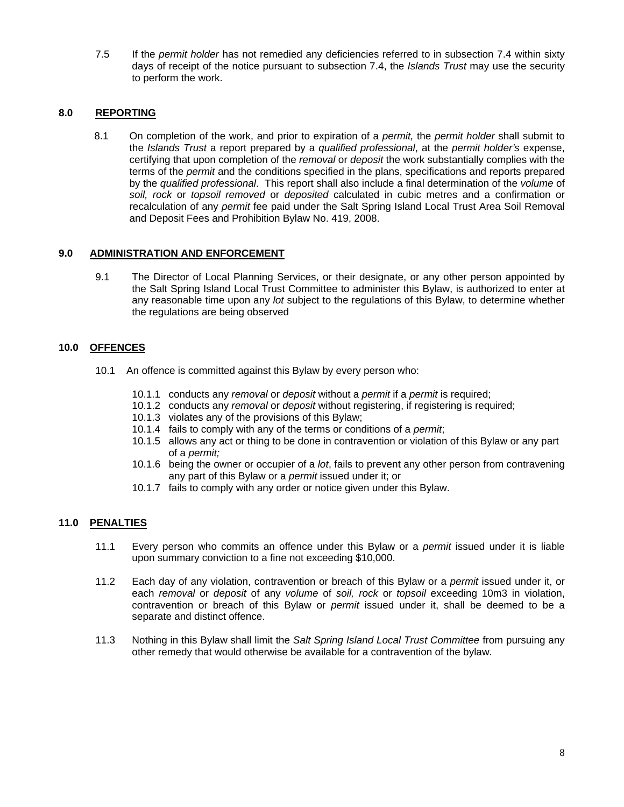7.5 If the *permit holder* has not remedied any deficiencies referred to in subsection 7.4 within sixty days of receipt of the notice pursuant to subsection 7.4, the *Islands Trust* may use the security to perform the work.

## **8.0 REPORTING**

8.1 On completion of the work, and prior to expiration of a *permit,* the *permit holder* shall submit to the *Islands Trust* a report prepared by a *qualified professional*, at the *permit holder's* expense, certifying that upon completion of the *removal* or *deposit* the work substantially complies with the terms of the *permit* and the conditions specified in the plans, specifications and reports prepared by the *qualified professional*. This report shall also include a final determination of the *volume* of *soil, rock* or *topsoil removed* or *deposited* calculated in cubic metres and a confirmation or recalculation of any *permit* fee paid under the Salt Spring Island Local Trust Area Soil Removal and Deposit Fees and Prohibition Bylaw No. 419, 2008.

## **9.0 ADMINISTRATION AND ENFORCEMENT**

9.1 The Director of Local Planning Services, or their designate, or any other person appointed by the Salt Spring Island Local Trust Committee to administer this Bylaw, is authorized to enter at any reasonable time upon any *lot* subject to the regulations of this Bylaw, to determine whether the regulations are being observed

## **10.0 OFFENCES**

- 10.1 An offence is committed against this Bylaw by every person who:
	- 10.1.1 conducts any *removal* or *deposit* without a *permit* if a *permit* is required;
	- 10.1.2 conducts any *removal* or *deposit* without registering, if registering is required;
	- 10.1.3 violates any of the provisions of this Bylaw;
	- 10.1.4 fails to comply with any of the terms or conditions of a *permit*;
	- 10.1.5 allows any act or thing to be done in contravention or violation of this Bylaw or any part of a *permit;*
	- 10.1.6 being the owner or occupier of a *lot*, fails to prevent any other person from contravening any part of this Bylaw or a *permit* issued under it; or
	- 10.1.7 fails to comply with any order or notice given under this Bylaw.

## **11.0 PENALTIES**

- 11.1 Every person who commits an offence under this Bylaw or a *permit* issued under it is liable upon summary conviction to a fine not exceeding \$10,000.
- 11.2 Each day of any violation, contravention or breach of this Bylaw or a *permit* issued under it, or each *removal* or *deposit* of any *volume* of *soil, rock* or *topsoil* exceeding 10m3 in violation, contravention or breach of this Bylaw or *permit* issued under it, shall be deemed to be a separate and distinct offence.
- 11.3 Nothing in this Bylaw shall limit the *Salt Spring Island Local Trust Committee* from pursuing any other remedy that would otherwise be available for a contravention of the bylaw.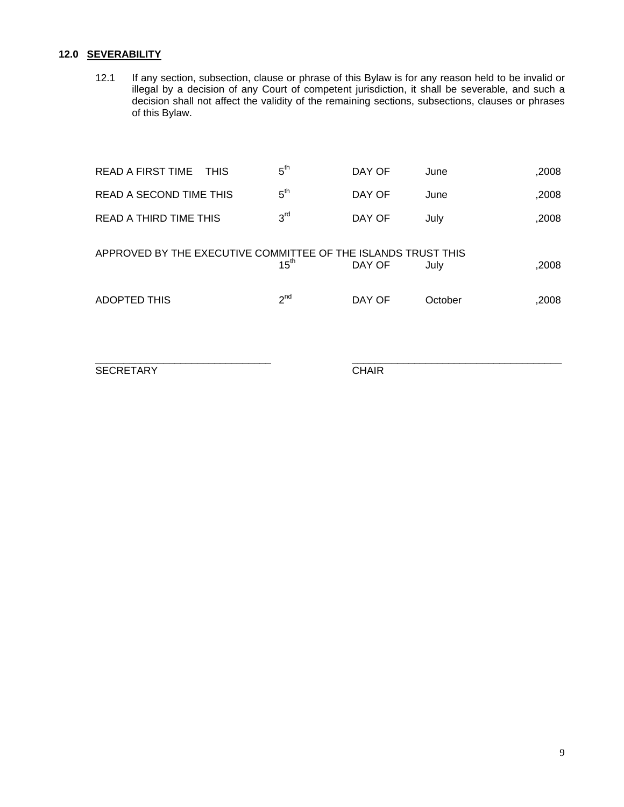## **12.0 SEVERABILITY**

12.1 If any section, subsection, clause or phrase of this Bylaw is for any reason held to be invalid or illegal by a decision of any Court of competent jurisdiction, it shall be severable, and such a decision shall not affect the validity of the remaining sections, subsections, clauses or phrases of this Bylaw.

| READ A FIRST TIME<br><b>THIS</b>                              | 5 <sup>th</sup>  | DAY OF | June    | ,2008 |
|---------------------------------------------------------------|------------------|--------|---------|-------|
| READ A SECOND TIME THIS                                       | 5 <sup>th</sup>  | DAY OF | June    | ,2008 |
| READ A THIRD TIME THIS                                        | 3 <sup>rd</sup>  | DAY OF | July    | ,2008 |
| APPROVED BY THE EXECUTIVE COMMITTEE OF THE ISLANDS TRUST THIS | $15^{\text{th}}$ | DAY OF | July    | ,2008 |
| <b>ADOPTED THIS</b>                                           | $2^{nd}$         | DAY OF | October | ,2008 |

\_\_\_\_\_\_\_\_\_\_\_\_\_\_\_\_\_\_\_\_\_\_\_\_\_\_\_\_\_\_\_ \_\_\_\_\_\_\_\_\_\_\_\_\_\_\_\_\_\_\_\_\_\_\_\_\_\_\_\_\_\_\_\_\_\_\_\_\_

SECRETARY CHAIR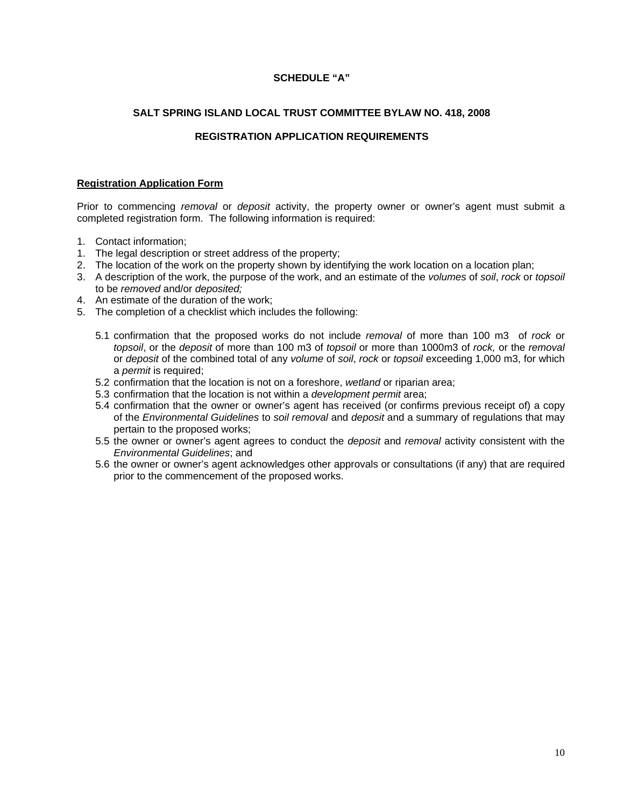## **SCHEDULE "A"**

## **SALT SPRING ISLAND LOCAL TRUST COMMITTEE BYLAW NO. 418, 2008**

## **REGISTRATION APPLICATION REQUIREMENTS**

## **Registration Application Form**

Prior to commencing *removal* or *deposit* activity, the property owner or owner's agent must submit a completed registration form. The following information is required:

- 1. Contact information;
- 1. The legal description or street address of the property;
- 2. The location of the work on the property shown by identifying the work location on a location plan;
- 3. A description of the work, the purpose of the work, and an estimate of the *volumes* of *soil*, *rock* or *topsoil*  to be *removed* and/or *deposited;*
- 4. An estimate of the duration of the work;
- 5. The completion of a checklist which includes the following:
	- 5.1 confirmation that the proposed works do not include *removal* of more than 100 m3 of *rock* or *topsoil*, or the *deposit* of more than 100 m3 of *topsoil* or more than 1000m3 of *rock,* or the *removal*  or *deposit* of the combined total of any *volume* of *soil*, *rock* or *topsoil* exceeding 1,000 m3, for which a *permit* is required;
	- 5.2 confirmation that the location is not on a foreshore, *wetland* or riparian area;
	- 5.3 confirmation that the location is not within a *development permit* area;
	- 5.4 confirmation that the owner or owner's agent has received (or confirms previous receipt of) a copy of the *Environmental Guidelines* to *soil removal* and *deposit* and a summary of regulations that may pertain to the proposed works;
	- 5.5 the owner or owner's agent agrees to conduct the *deposit* and *removal* activity consistent with the *Environmental Guidelines*; and
	- 5.6 the owner or owner's agent acknowledges other approvals or consultations (if any) that are required prior to the commencement of the proposed works.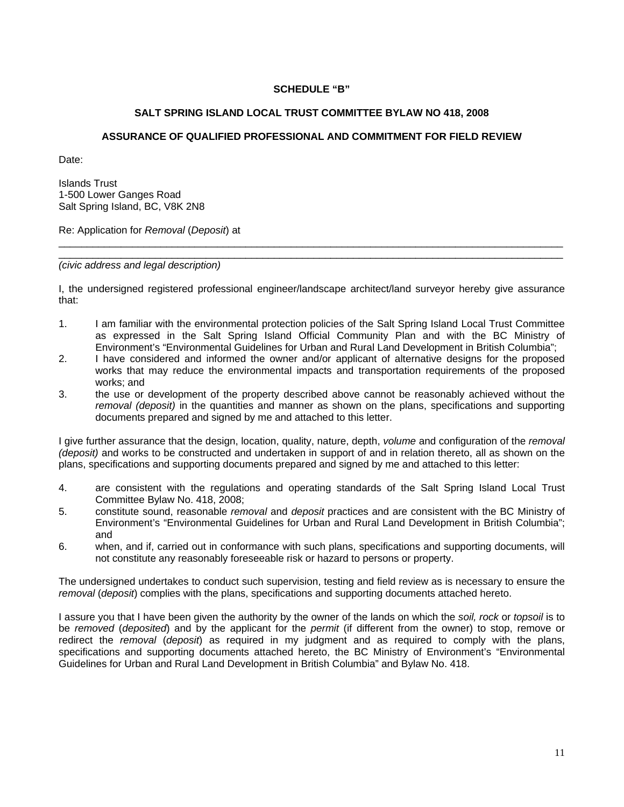## **SCHEDULE "B"**

## **SALT SPRING ISLAND LOCAL TRUST COMMITTEE BYLAW NO 418, 2008**

## **ASSURANCE OF QUALIFIED PROFESSIONAL AND COMMITMENT FOR FIELD REVIEW**

Date:

Islands Trust 1-500 Lower Ganges Road Salt Spring Island, BC, V8K 2N8

Re: Application for *Removal* (*Deposit*) at

*(civic address and legal description)* 

I, the undersigned registered professional engineer/landscape architect/land surveyor hereby give assurance that:

\_\_\_\_\_\_\_\_\_\_\_\_\_\_\_\_\_\_\_\_\_\_\_\_\_\_\_\_\_\_\_\_\_\_\_\_\_\_\_\_\_\_\_\_\_\_\_\_\_\_\_\_\_\_\_\_\_\_\_\_\_\_\_\_\_\_\_\_\_\_\_\_\_\_\_\_\_\_\_\_\_\_\_\_\_\_\_\_\_ \_\_\_\_\_\_\_\_\_\_\_\_\_\_\_\_\_\_\_\_\_\_\_\_\_\_\_\_\_\_\_\_\_\_\_\_\_\_\_\_\_\_\_\_\_\_\_\_\_\_\_\_\_\_\_\_\_\_\_\_\_\_\_\_\_\_\_\_\_\_\_\_\_\_\_\_\_\_\_\_\_\_\_\_\_\_\_\_\_

- 1. I am familiar with the environmental protection policies of the Salt Spring Island Local Trust Committee as expressed in the Salt Spring Island Official Community Plan and with the BC Ministry of Environment's "Environmental Guidelines for Urban and Rural Land Development in British Columbia";
- 2. I have considered and informed the owner and/or applicant of alternative designs for the proposed works that may reduce the environmental impacts and transportation requirements of the proposed works; and
- 3. the use or development of the property described above cannot be reasonably achieved without the *removal (deposit)* in the quantities and manner as shown on the plans, specifications and supporting documents prepared and signed by me and attached to this letter.

I give further assurance that the design, location, quality, nature, depth, *volume* and configuration of the *removal (deposit)* and works to be constructed and undertaken in support of and in relation thereto, all as shown on the plans, specifications and supporting documents prepared and signed by me and attached to this letter:

- 4. are consistent with the regulations and operating standards of the Salt Spring Island Local Trust Committee Bylaw No. 418, 2008;
- 5. constitute sound, reasonable *removal* and *deposit* practices and are consistent with the BC Ministry of Environment's "Environmental Guidelines for Urban and Rural Land Development in British Columbia"; and
- 6. when, and if, carried out in conformance with such plans, specifications and supporting documents, will not constitute any reasonably foreseeable risk or hazard to persons or property.

The undersigned undertakes to conduct such supervision, testing and field review as is necessary to ensure the *removal* (*deposit*) complies with the plans, specifications and supporting documents attached hereto.

I assure you that I have been given the authority by the owner of the lands on which the *soil, rock* or *topsoil* is to be *removed* (*deposited*) and by the applicant for the *permit* (if different from the owner) to stop, remove or redirect the *removal* (*deposit*) as required in my judgment and as required to comply with the plans, specifications and supporting documents attached hereto, the BC Ministry of Environment's "Environmental Guidelines for Urban and Rural Land Development in British Columbia" and Bylaw No. 418.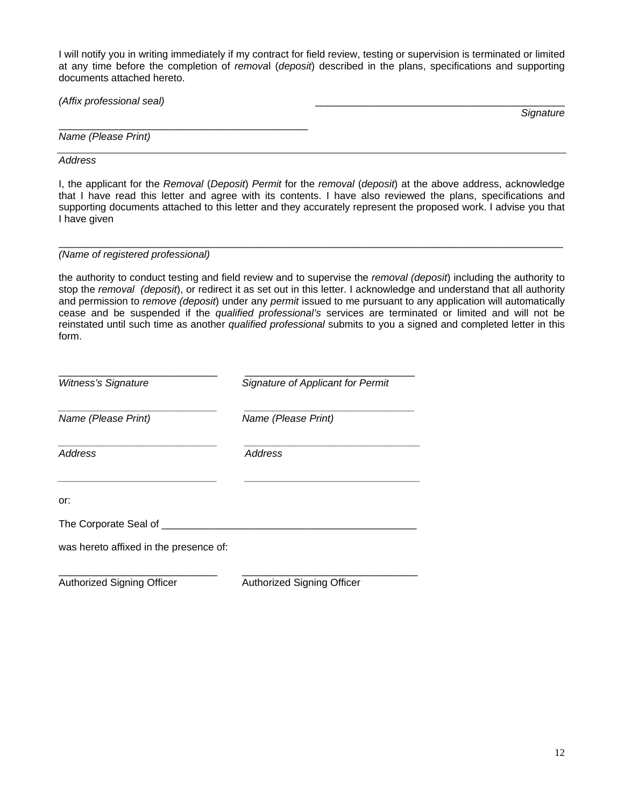I will notify you in writing immediately if my contract for field review, testing or supervision is terminated or limited at any time before the completion of *remova*l (*deposit*) described in the plans, specifications and supporting documents attached hereto.

| (Affix professional seal) |      |
|---------------------------|------|
|                           | Cian |
|                           |      |

*Name (Please Print)* 

*Address* 

I, the applicant for the *Removal* (*Deposit*) *Permit* for the *removal* (*deposit*) at the above address, acknowledge that I have read this letter and agree with its contents. I have also reviewed the plans, specifications and supporting documents attached to this letter and they accurately represent the proposed work. I advise you that I have given

#### \_\_\_\_\_\_\_\_\_\_\_\_\_\_\_\_\_\_\_\_\_\_\_\_\_\_\_\_\_\_\_\_\_\_\_\_\_\_\_\_\_\_\_\_\_\_\_\_\_\_\_\_\_\_\_\_\_\_\_\_\_\_\_\_\_\_\_\_\_\_\_\_\_\_\_\_\_\_\_\_\_\_\_\_\_\_\_\_\_ *(Name of registered professional)*

the authority to conduct testing and field review and to supervise the *removal (deposit*) including the authority to stop the *removal (deposit*), or redirect it as set out in this letter. I acknowledge and understand that all authority and permission to *remove (deposit*) under any *permit* issued to me pursuant to any application will automatically cease and be suspended if the *qualified professional's* services are terminated or limited and will not be reinstated until such time as another *qualified professional* submits to you a signed and completed letter in this form.

| Witness's Signature                    | Signature of Applicant for Permit<br>Name (Please Print) |  |  |
|----------------------------------------|----------------------------------------------------------|--|--|
| Name (Please Print)                    |                                                          |  |  |
| Address                                | <b>Address</b>                                           |  |  |
| or:                                    |                                                          |  |  |
| The Corporate Seal of ____             |                                                          |  |  |
| was hereto affixed in the presence of: |                                                          |  |  |
| <b>Authorized Signing Officer</b>      | Authorized Signing Officer                               |  |  |